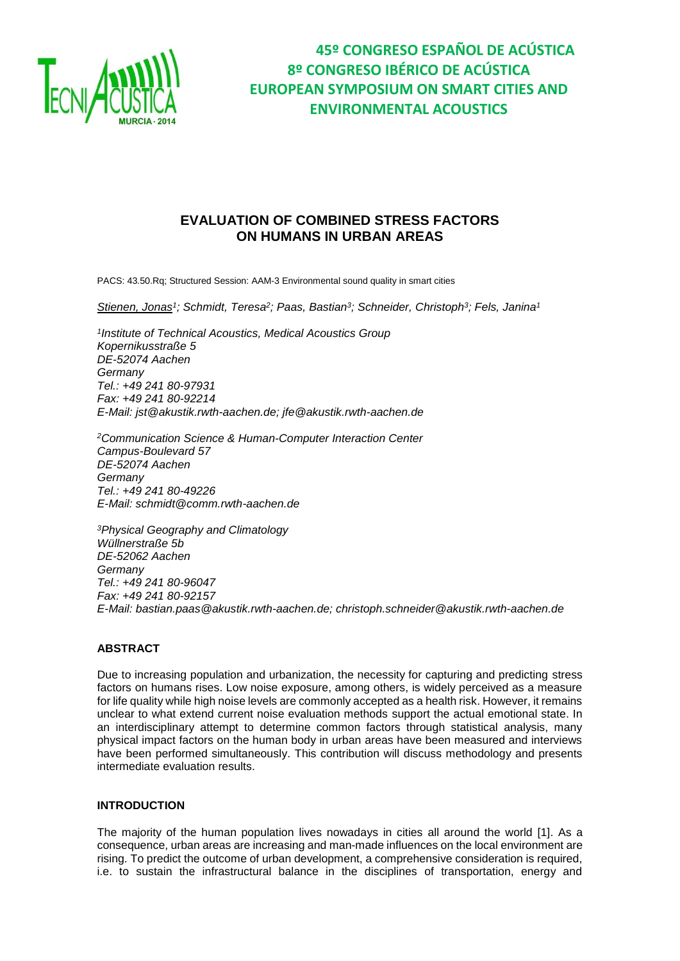

## **EVALUATION OF COMBINED STRESS FACTORS ON HUMANS IN URBAN AREAS**

PACS: 43.50.Rq; Structured Session: AAM-3 Environmental sound quality in smart cities

*Stienen, Jonas<sup>1</sup> ; Schmidt, Teresa<sup>2</sup> ; Paas, Bastian<sup>3</sup> ; Schneider, Christoph<sup>3</sup> ; Fels, Janina<sup>1</sup>*

*1 Institute of Technical Acoustics, Medical Acoustics Group Kopernikusstraße 5 DE-52074 Aachen Germany Tel.: +49 241 80-97931 Fax: +49 241 80-92214 E-Mail: jst@akustik.rwth-aachen.de; jfe@akustik.rwth-aachen.de*

*<sup>2</sup>Communication Science & Human-Computer Interaction Center Campus-Boulevard 57 DE-52074 Aachen Germany Tel.: +49 241 80-49226 E-Mail: schmidt@comm.rwth-aachen.de*

*<sup>3</sup>Physical Geography and Climatology Wüllnerstraße 5b DE-52062 Aachen Germany Tel.: +49 241 80-96047 Fax: +49 241 80-92157 E-Mail: bastian.paas@akustik.rwth-aachen.de; christoph.schneider@akustik.rwth-aachen.de*

## **ABSTRACT**

Due to increasing population and urbanization, the necessity for capturing and predicting stress factors on humans rises. Low noise exposure, among others, is widely perceived as a measure for life quality while high noise levels are commonly accepted as a health risk. However, it remains unclear to what extend current noise evaluation methods support the actual emotional state. In an interdisciplinary attempt to determine common factors through statistical analysis, many physical impact factors on the human body in urban areas have been measured and interviews have been performed simultaneously. This contribution will discuss methodology and presents intermediate evaluation results.

### **INTRODUCTION**

The majority of the human population lives nowadays in cities all around the world [1]. As a consequence, urban areas are increasing and man-made influences on the local environment are rising. To predict the outcome of urban development, a comprehensive consideration is required, i.e. to sustain the infrastructural balance in the disciplines of transportation, energy and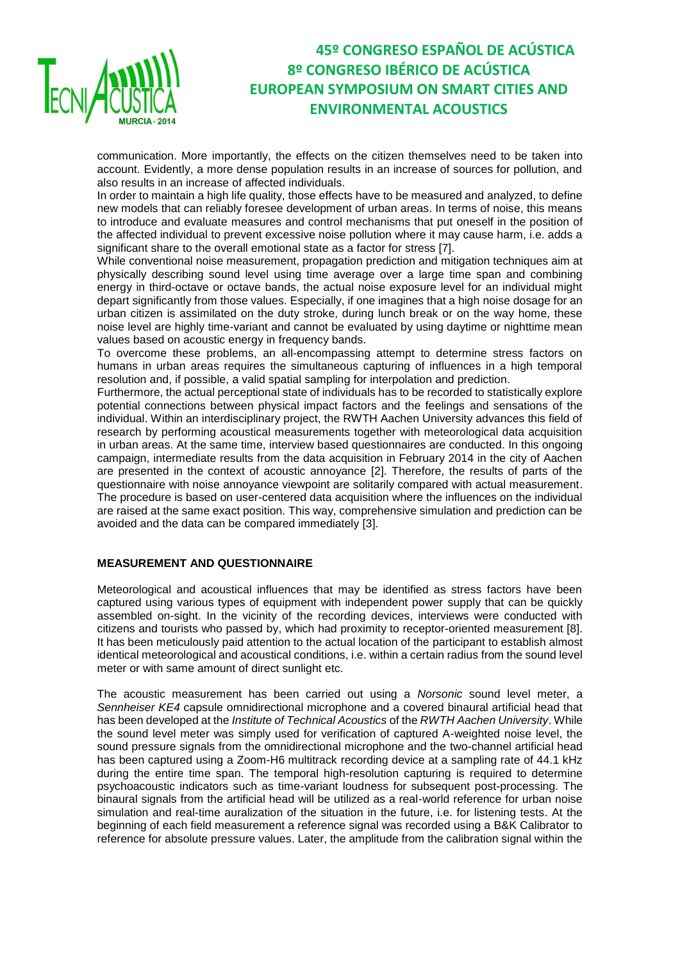

communication. More importantly, the effects on the citizen themselves need to be taken into account. Evidently, a more dense population results in an increase of sources for pollution, and also results in an increase of affected individuals.

In order to maintain a high life quality, those effects have to be measured and analyzed, to define new models that can reliably foresee development of urban areas. In terms of noise, this means to introduce and evaluate measures and control mechanisms that put oneself in the position of the affected individual to prevent excessive noise pollution where it may cause harm, i.e. adds a significant share to the overall emotional state as a factor for stress [7].

While conventional noise measurement, propagation prediction and mitigation techniques aim at physically describing sound level using time average over a large time span and combining energy in third-octave or octave bands, the actual noise exposure level for an individual might depart significantly from those values. Especially, if one imagines that a high noise dosage for an urban citizen is assimilated on the duty stroke, during lunch break or on the way home, these noise level are highly time-variant and cannot be evaluated by using daytime or nighttime mean values based on acoustic energy in frequency bands.

To overcome these problems, an all-encompassing attempt to determine stress factors on humans in urban areas requires the simultaneous capturing of influences in a high temporal resolution and, if possible, a valid spatial sampling for interpolation and prediction.

Furthermore, the actual perceptional state of individuals has to be recorded to statistically explore potential connections between physical impact factors and the feelings and sensations of the individual. Within an interdisciplinary project, the RWTH Aachen University advances this field of research by performing acoustical measurements together with meteorological data acquisition in urban areas. At the same time, interview based questionnaires are conducted. In this ongoing campaign, intermediate results from the data acquisition in February 2014 in the city of Aachen are presented in the context of acoustic annoyance [2]. Therefore, the results of parts of the questionnaire with noise annoyance viewpoint are solitarily compared with actual measurement. The procedure is based on user-centered data acquisition where the influences on the individual are raised at the same exact position. This way, comprehensive simulation and prediction can be avoided and the data can be compared immediately [3].

## **MEASUREMENT AND QUESTIONNAIRE**

Meteorological and acoustical influences that may be identified as stress factors have been captured using various types of equipment with independent power supply that can be quickly assembled on-sight. In the vicinity of the recording devices, interviews were conducted with citizens and tourists who passed by, which had proximity to receptor-oriented measurement [8]. It has been meticulously paid attention to the actual location of the participant to establish almost identical meteorological and acoustical conditions, i.e. within a certain radius from the sound level meter or with same amount of direct sunlight etc.

The acoustic measurement has been carried out using a *Norsonic* sound level meter, a *Sennheiser KE4* capsule omnidirectional microphone and a covered binaural artificial head that has been developed at the *Institute of Technical Acoustics* of the *RWTH Aachen University*. While the sound level meter was simply used for verification of captured A-weighted noise level, the sound pressure signals from the omnidirectional microphone and the two-channel artificial head has been captured using a Zoom-H6 multitrack recording device at a sampling rate of 44.1 kHz during the entire time span. The temporal high-resolution capturing is required to determine psychoacoustic indicators such as time-variant loudness for subsequent post-processing. The binaural signals from the artificial head will be utilized as a real-world reference for urban noise simulation and real-time auralization of the situation in the future, i.e. for listening tests. At the beginning of each field measurement a reference signal was recorded using a B&K Calibrator to reference for absolute pressure values. Later, the amplitude from the calibration signal within the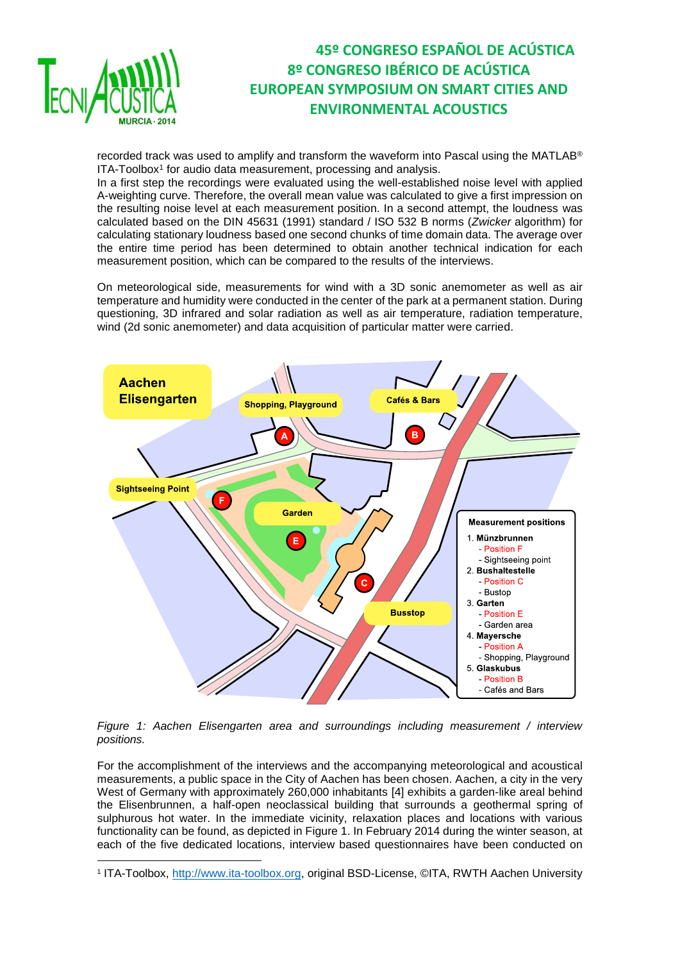

**.** 

## **45º CONGRESO ESPAÑOL DE ACÚSTICA 8º CONGRESO IBÉRICO DE ACÚSTICA EUROPEAN SYMPOSIUM ON SMART CITIES AND ENVIRONMENTAL ACOUSTICS**

recorded track was used to amplify and transform the waveform into Pascal using the MATLAB® ITA-Toolbox<sup>1</sup> for audio data measurement, processing and analysis.

In a first step the recordings were evaluated using the well-established noise level with applied A-weighting curve. Therefore, the overall mean value was calculated to give a first impression on the resulting noise level at each measurement position. In a second attempt, the loudness was calculated based on the DIN 45631 (1991) standard / ISO 532 B norms (*Zwicker* algorithm) for calculating stationary loudness based one second chunks of time domain data. The average over the entire time period has been determined to obtain another technical indication for each measurement position, which can be compared to the results of the interviews.

On meteorological side, measurements for wind with a 3D sonic anemometer as well as air temperature and humidity were conducted in the center of the park at a permanent station. During questioning, 3D infrared and solar radiation as well as air temperature, radiation temperature, wind (2d sonic anemometer) and data acquisition of particular matter were carried.



*Figure 1: Aachen Elisengarten area and surroundings including measurement / interview positions.*

For the accomplishment of the interviews and the accompanying meteorological and acoustical measurements, a public space in the City of Aachen has been chosen. Aachen, a city in the very West of Germany with approximately 260,000 inhabitants [4] exhibits a garden-like areal behind the Elisenbrunnen, a half-open neoclassical building that surrounds a geothermal spring of sulphurous hot water. In the immediate vicinity, relaxation places and locations with various functionality can be found, as depicted in Figure 1. In February 2014 during the winter season, at each of the five dedicated locations, interview based questionnaires have been conducted on

<sup>1</sup> ITA-Toolbox, <u>http://www.ita-toolbox.org,</u> original BSD-License, ©ITA, RWTH Aachen University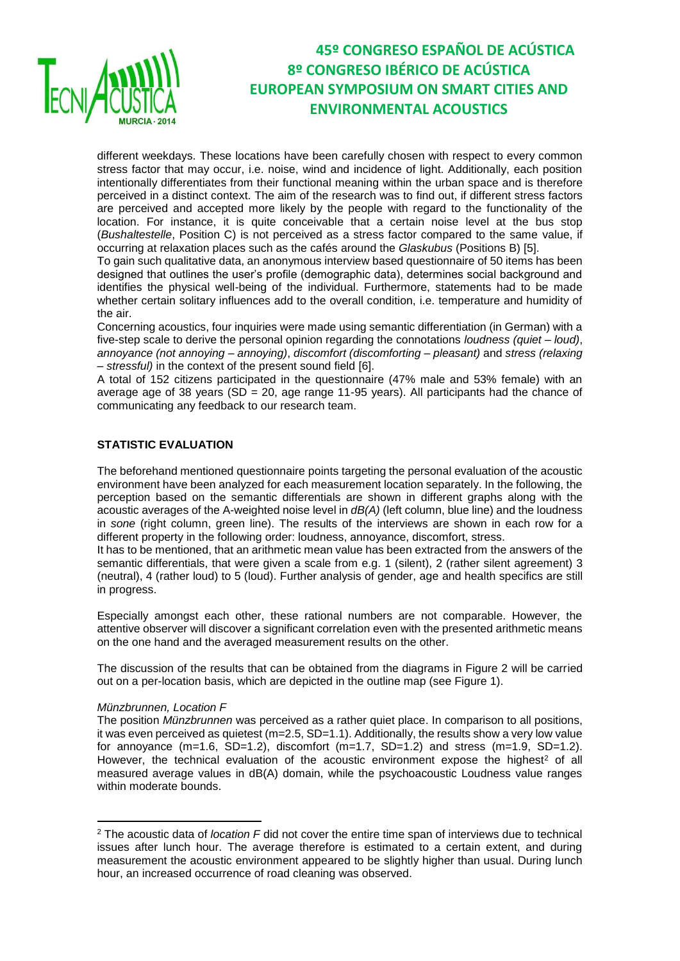

different weekdays. These locations have been carefully chosen with respect to every common stress factor that may occur, i.e. noise, wind and incidence of light. Additionally, each position intentionally differentiates from their functional meaning within the urban space and is therefore perceived in a distinct context. The aim of the research was to find out, if different stress factors are perceived and accepted more likely by the people with regard to the functionality of the location. For instance, it is quite conceivable that a certain noise level at the bus stop (*Bushaltestelle*, Position C) is not perceived as a stress factor compared to the same value, if occurring at relaxation places such as the cafés around the *Glaskubus* (Positions B) [5].

To gain such qualitative data, an anonymous interview based questionnaire of 50 items has been designed that outlines the user's profile (demographic data), determines social background and identifies the physical well-being of the individual. Furthermore, statements had to be made whether certain solitary influences add to the overall condition, i.e. temperature and humidity of the air.

Concerning acoustics, four inquiries were made using semantic differentiation (in German) with a five-step scale to derive the personal opinion regarding the connotations *loudness (quiet – loud)*, *annoyance (not annoying – annoying)*, *discomfort (discomforting – pleasant)* and *stress (relaxing – stressful)* in the context of the present sound field [6].

A total of 152 citizens participated in the questionnaire (47% male and 53% female) with an average age of 38 years (SD = 20, age range 11-95 years). All participants had the chance of communicating any feedback to our research team.

## **STATISTIC EVALUATION**

The beforehand mentioned questionnaire points targeting the personal evaluation of the acoustic environment have been analyzed for each measurement location separately. In the following, the perception based on the semantic differentials are shown in different graphs along with the acoustic averages of the A-weighted noise level in *dB(A)* (left column, blue line) and the loudness in *sone* (right column, green line). The results of the interviews are shown in each row for a different property in the following order: loudness, annoyance, discomfort, stress.

It has to be mentioned, that an arithmetic mean value has been extracted from the answers of the semantic differentials, that were given a scale from e.g. 1 (silent), 2 (rather silent agreement) 3 (neutral), 4 (rather loud) to 5 (loud). Further analysis of gender, age and health specifics are still in progress.

Especially amongst each other, these rational numbers are not comparable. However, the attentive observer will discover a significant correlation even with the presented arithmetic means on the one hand and the averaged measurement results on the other.

The discussion of the results that can be obtained from the diagrams in Figure 2 will be carried out on a per-location basis, which are depicted in the outline map (see Figure 1).

#### *Münzbrunnen, Location F*

**.** 

The position *Münzbrunnen* was perceived as a rather quiet place. In comparison to all positions, it was even perceived as quietest  $(m=2.5, SD=1.1)$ . Additionally, the results show a very low value for annovance  $(m=1.6, SD=1.2)$ , discomfort  $(m=1.7, SD=1.2)$  and stress  $(m=1.9, SD=1.2)$ . However, the technical evaluation of the acoustic environment expose the highest<sup>2</sup> of all measured average values in dB(A) domain, while the psychoacoustic Loudness value ranges within moderate bounds.

<sup>2</sup> The acoustic data of *location F* did not cover the entire time span of interviews due to technical issues after lunch hour. The average therefore is estimated to a certain extent, and during measurement the acoustic environment appeared to be slightly higher than usual. During lunch hour, an increased occurrence of road cleaning was observed.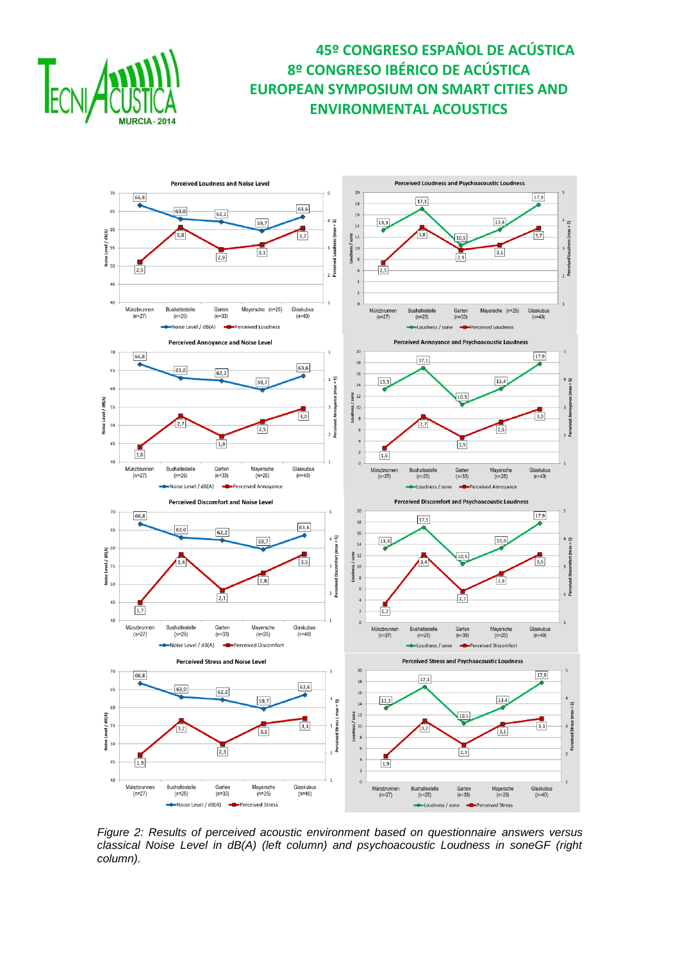



*Figure 2: Results of perceived acoustic environment based on questionnaire answers versus classical Noise Level in dB(A) (left column) and psychoacoustic Loudness in soneGF (right column).*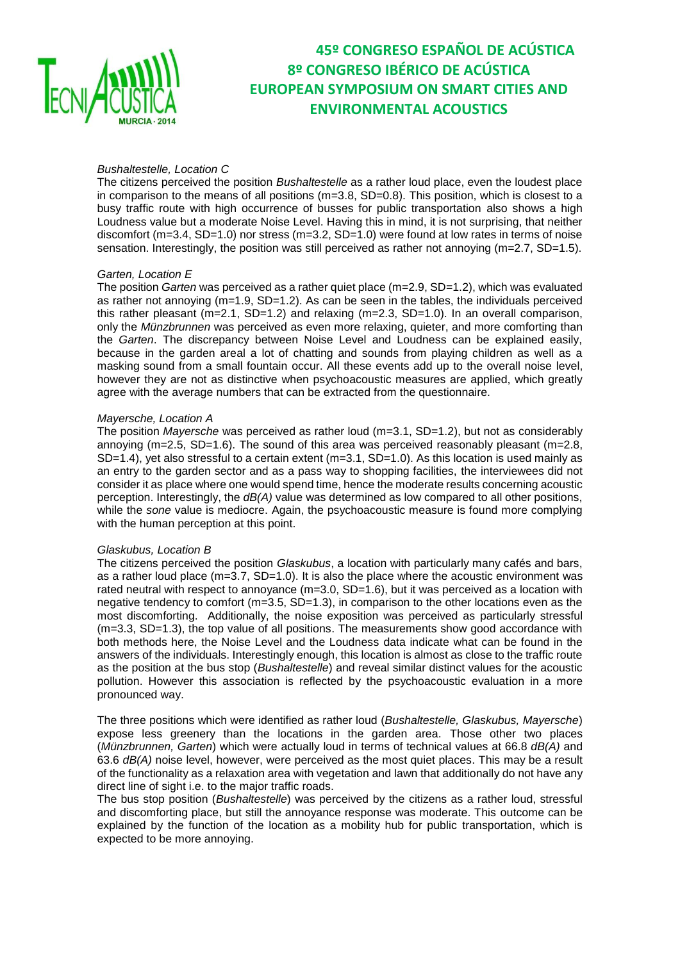

### *Bushaltestelle, Location C*

The citizens perceived the position *Bushaltestelle* as a rather loud place, even the loudest place in comparison to the means of all positions  $(m=3.8, SD=0.8)$ . This position, which is closest to a busy traffic route with high occurrence of busses for public transportation also shows a high Loudness value but a moderate Noise Level. Having this in mind, it is not surprising, that neither discomfort (m=3.4, SD=1.0) nor stress (m=3.2, SD=1.0) were found at low rates in terms of noise sensation. Interestingly, the position was still perceived as rather not annoying  $(m=2.7, SD=1.5)$ .

#### *Garten, Location E*

The position *Garten* was perceived as a rather quiet place (m=2.9, SD=1.2), which was evaluated as rather not annoying (m=1.9, SD=1.2). As can be seen in the tables, the individuals perceived this rather pleasant  $(m=2.1, SD=1.2)$  and relaxing  $(m=2.3, SD=1.0)$ . In an overall comparison, only the *Münzbrunnen* was perceived as even more relaxing, quieter, and more comforting than the *Garten*. The discrepancy between Noise Level and Loudness can be explained easily, because in the garden areal a lot of chatting and sounds from playing children as well as a masking sound from a small fountain occur. All these events add up to the overall noise level, however they are not as distinctive when psychoacoustic measures are applied, which greatly agree with the average numbers that can be extracted from the questionnaire.

#### *Mayersche, Location A*

The position *Mayersche* was perceived as rather loud (m=3.1, SD=1.2), but not as considerably annoying ( $m=2.5$ , SD=1.6). The sound of this area was perceived reasonably pleasant ( $m=2.8$ , SD=1.4), yet also stressful to a certain extent (m=3.1, SD=1.0). As this location is used mainly as an entry to the garden sector and as a pass way to shopping facilities, the interviewees did not consider it as place where one would spend time, hence the moderate results concerning acoustic perception. Interestingly, the *dB(A)* value was determined as low compared to all other positions, while the *sone* value is mediocre. Again, the psychoacoustic measure is found more complying with the human perception at this point.

#### *Glaskubus, Location B*

The citizens perceived the position *Glaskubus*, a location with particularly many cafés and bars, as a rather loud place (m=3.7, SD=1.0). It is also the place where the acoustic environment was rated neutral with respect to annoyance (m=3.0, SD=1.6), but it was perceived as a location with negative tendency to comfort (m=3.5, SD=1.3), in comparison to the other locations even as the most discomforting. Additionally, the noise exposition was perceived as particularly stressful (m=3.3, SD=1.3), the top value of all positions. The measurements show good accordance with both methods here, the Noise Level and the Loudness data indicate what can be found in the answers of the individuals. Interestingly enough, this location is almost as close to the traffic route as the position at the bus stop (*Bushaltestelle*) and reveal similar distinct values for the acoustic pollution. However this association is reflected by the psychoacoustic evaluation in a more pronounced way.

The three positions which were identified as rather loud (*Bushaltestelle, Glaskubus, Mayersche*) expose less greenery than the locations in the garden area. Those other two places (*Münzbrunnen, Garten*) which were actually loud in terms of technical values at 66.8 *dB(A)* and 63.6 *dB(A)* noise level, however, were perceived as the most quiet places. This may be a result of the functionality as a relaxation area with vegetation and lawn that additionally do not have any direct line of sight i.e. to the major traffic roads.

The bus stop position (*Bushaltestelle*) was perceived by the citizens as a rather loud, stressful and discomforting place, but still the annoyance response was moderate. This outcome can be explained by the function of the location as a mobility hub for public transportation, which is expected to be more annoying.